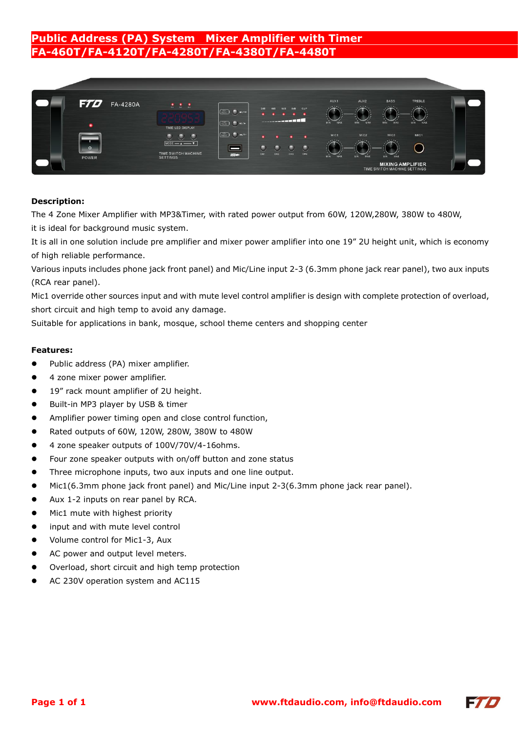## **Public Address (PA) System Mixer Amplifier with Timer FA-460T/FA-4120T/FA-4280T/FA-4380T/FA-4480T**



### **Description:**

The 4 Zone Mixer Amplifier with MP3&Timer, with rated power output from 60W, 120W,280W, 380W to 480W, it is ideal for background music system.

It is all in one solution include pre amplifier and mixer power amplifier into one 19" 2U height unit, which is economy of high reliable performance.

Various inputs includes phone jack front panel) and Mic/Line input 2-3 (6.3mm phone jack rear panel), two aux inputs (RCA rear panel).

Mic1 override other sources input and with mute level control amplifier is design with complete protection of overload, short circuit and high temp to avoid any damage.

Suitable for applications in bank, mosque, school theme centers and shopping center

### **Features:**

- Public address (PA) mixer amplifier.
- 4 zone mixer power amplifier.
- 19" rack mount amplifier of 2U height.
- Built-in MP3 player by USB & timer
- Amplifier power timing open and close control function,
- Rated outputs of 60W, 120W, 280W, 380W to 480W
- 4 zone speaker outputs of 100V/70V/4-16ohms.
- Four zone speaker outputs with on/off button and zone status
- Three microphone inputs, two aux inputs and one line output.
- Mic1(6.3mm phone jack front panel) and Mic/Line input 2-3(6.3mm phone jack rear panel).
- Aux 1-2 inputs on rear panel by RCA.
- Mic1 mute with highest priority
- input and with mute level control
- Volume control for Mic1-3, Aux
- AC power and output level meters.
- Overload, short circuit and high temp protection
- AC 230V operation system and AC115